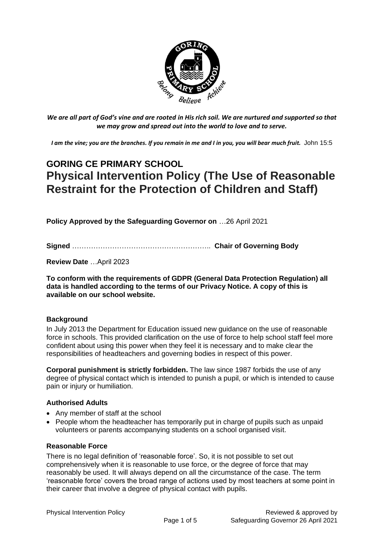

*We are all part of God's vine and are rooted in His rich soil. We are nurtured and supported so that we may grow and spread out into the world to love and to serve.*

*I am the vine; you are the branches. If you remain in me and I in you, you will bear much fruit.* John 15:5

# **GORING CE PRIMARY SCHOOL Physical Intervention Policy (The Use of Reasonable Restraint for the Protection of Children and Staff)**

**Policy Approved by the Safeguarding Governor on** …26 April 2021

**Signed** ………………………………………………….. **Chair of Governing Body**

**Review Date** …April 2023

**To conform with the requirements of GDPR (General Data Protection Regulation) all data is handled according to the terms of our Privacy Notice. A copy of this is available on our school website.** 

#### **Background**

In July 2013 the Department for Education issued new guidance on the use of reasonable force in schools. This provided clarification on the use of force to help school staff feel more confident about using this power when they feel it is necessary and to make clear the responsibilities of headteachers and governing bodies in respect of this power.

**Corporal punishment is strictly forbidden.** The law since 1987 forbids the use of any degree of physical contact which is intended to punish a pupil, or which is intended to cause pain or injury or humiliation.

#### **Authorised Adults**

- Any member of staff at the school
- People whom the headteacher has temporarily put in charge of pupils such as unpaid volunteers or parents accompanying students on a school organised visit.

#### **Reasonable Force**

There is no legal definition of 'reasonable force'. So, it is not possible to set out comprehensively when it is reasonable to use force, or the degree of force that may reasonably be used. It will always depend on all the circumstance of the case. The term 'reasonable force' covers the broad range of actions used by most teachers at some point in their career that involve a degree of physical contact with pupils.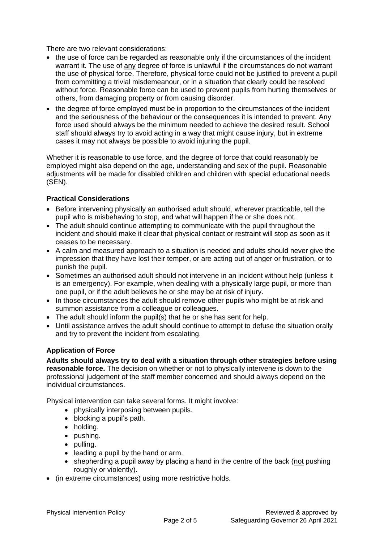There are two relevant considerations:

- the use of force can be regarded as reasonable only if the circumstances of the incident warrant it. The use of any degree of force is unlawful if the circumstances do not warrant the use of physical force. Therefore, physical force could not be justified to prevent a pupil from committing a trivial misdemeanour, or in a situation that clearly could be resolved without force. Reasonable force can be used to prevent pupils from hurting themselves or others, from damaging property or from causing disorder.
- the degree of force employed must be in proportion to the circumstances of the incident and the seriousness of the behaviour or the consequences it is intended to prevent. Any force used should always be the minimum needed to achieve the desired result. School staff should always try to avoid acting in a way that might cause injury, but in extreme cases it may not always be possible to avoid injuring the pupil.

Whether it is reasonable to use force, and the degree of force that could reasonably be employed might also depend on the age, understanding and sex of the pupil. Reasonable adjustments will be made for disabled children and children with special educational needs (SEN).

### **Practical Considerations**

- Before intervening physically an authorised adult should, wherever practicable, tell the pupil who is misbehaving to stop, and what will happen if he or she does not.
- The adult should continue attempting to communicate with the pupil throughout the incident and should make it clear that physical contact or restraint will stop as soon as it ceases to be necessary.
- A calm and measured approach to a situation is needed and adults should never give the impression that they have lost their temper, or are acting out of anger or frustration, or to punish the pupil.
- Sometimes an authorised adult should not intervene in an incident without help (unless it is an emergency). For example, when dealing with a physically large pupil, or more than one pupil, or if the adult believes he or she may be at risk of injury.
- In those circumstances the adult should remove other pupils who might be at risk and summon assistance from a colleague or colleagues.
- The adult should inform the pupil(s) that he or she has sent for help.
- Until assistance arrives the adult should continue to attempt to defuse the situation orally and try to prevent the incident from escalating.

## **Application of Force**

**Adults should always try to deal with a situation through other strategies before using reasonable force.** The decision on whether or not to physically intervene is down to the professional judgement of the staff member concerned and should always depend on the individual circumstances.

Physical intervention can take several forms. It might involve:

- physically interposing between pupils.
- blocking a pupil's path.
- holding.
- pushing.
- pulling.
- leading a pupil by the hand or arm.
- shepherding a pupil away by placing a hand in the centre of the back (not pushing roughly or violently).
- (in extreme circumstances) using more restrictive holds.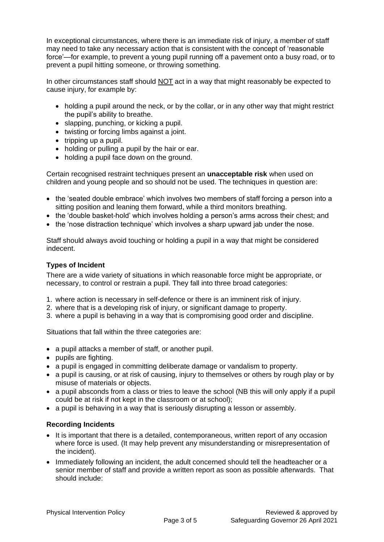In exceptional circumstances, where there is an immediate risk of injury, a member of staff may need to take any necessary action that is consistent with the concept of 'reasonable force'—for example, to prevent a young pupil running off a pavement onto a busy road, or to prevent a pupil hitting someone, or throwing something.

In other circumstances staff should NOT act in a way that might reasonably be expected to cause injury, for example by:

- holding a pupil around the neck, or by the collar, or in any other way that might restrict the pupil's ability to breathe.
- slapping, punching, or kicking a pupil.
- twisting or forcing limbs against a joint.
- tripping up a pupil.
- holding or pulling a pupil by the hair or ear.
- holding a pupil face down on the ground.

Certain recognised restraint techniques present an **unacceptable risk** when used on children and young people and so should not be used. The techniques in question are:

- the 'seated double embrace' which involves two members of staff forcing a person into a sitting position and leaning them forward, while a third monitors breathing.
- the 'double basket-hold' which involves holding a person's arms across their chest; and
- the 'nose distraction technique' which involves a sharp upward jab under the nose.

Staff should always avoid touching or holding a pupil in a way that might be considered indecent.

### **Types of Incident**

There are a wide variety of situations in which reasonable force might be appropriate, or necessary, to control or restrain a pupil. They fall into three broad categories:

- 1. where action is necessary in self-defence or there is an imminent risk of injury.
- 2. where that is a developing risk of injury, or significant damage to property.
- 3. where a pupil is behaving in a way that is compromising good order and discipline.

Situations that fall within the three categories are:

- a pupil attacks a member of staff, or another pupil.
- pupils are fighting.
- a pupil is engaged in committing deliberate damage or vandalism to property.
- a pupil is causing, or at risk of causing, injury to themselves or others by rough play or by misuse of materials or objects.
- a pupil absconds from a class or tries to leave the school (NB this will only apply if a pupil could be at risk if not kept in the classroom or at school);
- a pupil is behaving in a way that is seriously disrupting a lesson or assembly.

#### **Recording Incidents**

- It is important that there is a detailed, contemporaneous, written report of any occasion where force is used. (It may help prevent any misunderstanding or misrepresentation of the incident).
- Immediately following an incident, the adult concerned should tell the headteacher or a senior member of staff and provide a written report as soon as possible afterwards. That should include: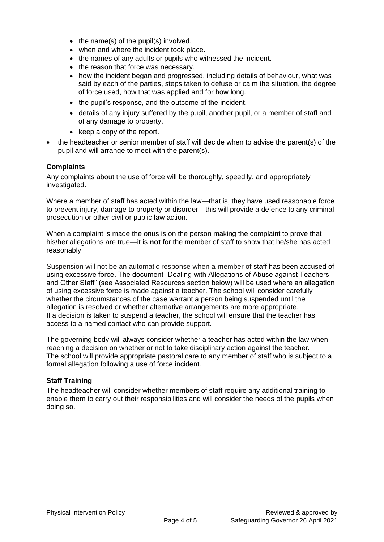- the name(s) of the pupil(s) involved.
- when and where the incident took place.
- the names of any adults or pupils who witnessed the incident.
- the reason that force was necessary.
- how the incident began and progressed, including details of behaviour, what was said by each of the parties, steps taken to defuse or calm the situation, the degree of force used, how that was applied and for how long.
- the pupil's response, and the outcome of the incident.
- details of any injury suffered by the pupil, another pupil, or a member of staff and of any damage to property.
- keep a copy of the report.
- the headteacher or senior member of staff will decide when to advise the parent(s) of the pupil and will arrange to meet with the parent(s).

## **Complaints**

Any complaints about the use of force will be thoroughly, speedily, and appropriately investigated.

Where a member of staff has acted within the law—that is, they have used reasonable force to prevent injury, damage to property or disorder—this will provide a defence to any criminal prosecution or other civil or public law action.

When a complaint is made the onus is on the person making the complaint to prove that his/her allegations are true—it is **not** for the member of staff to show that he/she has acted reasonably.

Suspension will not be an automatic response when a member of staff has been accused of using excessive force. The document "Dealing with Allegations of Abuse against Teachers and Other Staff" (see Associated Resources section below) will be used where an allegation of using excessive force is made against a teacher. The school will consider carefully whether the circumstances of the case warrant a person being suspended until the allegation is resolved or whether alternative arrangements are more appropriate. If a decision is taken to suspend a teacher, the school will ensure that the teacher has access to a named contact who can provide support.

The governing body will always consider whether a teacher has acted within the law when reaching a decision on whether or not to take disciplinary action against the teacher. The school will provide appropriate pastoral care to any member of staff who is subject to a formal allegation following a use of force incident.

## **Staff Training**

The headteacher will consider whether members of staff require any additional training to enable them to carry out their responsibilities and will consider the needs of the pupils when doing so.